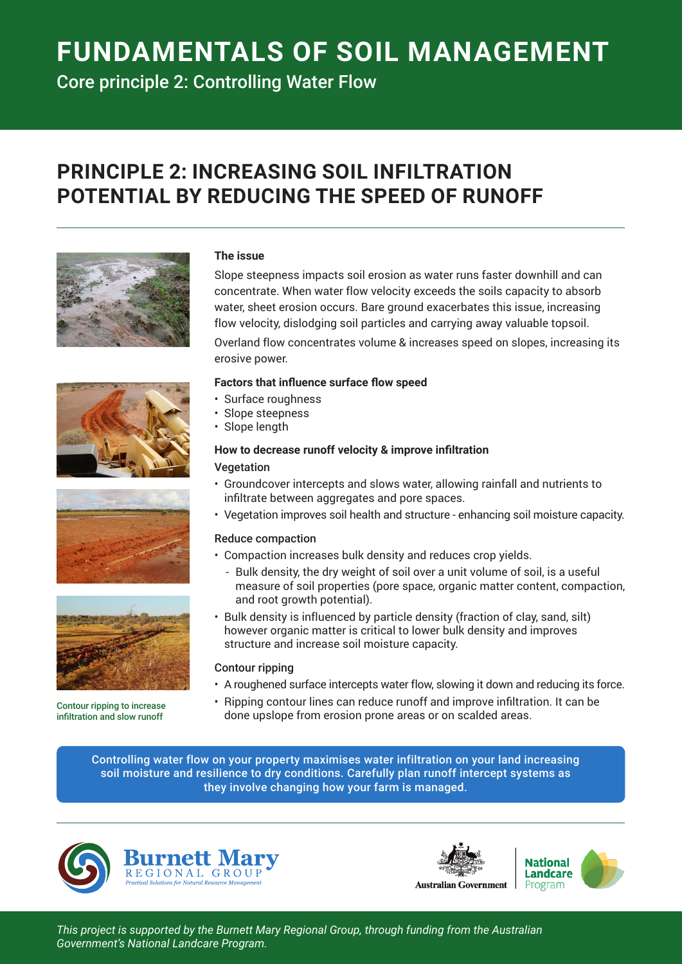# **FUNDAMENTALS OF SOIL MANAGEMENT**

Core principle 2: Controlling Water Flow

# **PRINCIPLE 2: INCREASING SOIL INFILTRATION POTENTIAL BY REDUCING THE SPEED OF RUNOFF**









Contour ripping to increase infiltration and slow runoff

#### **The issue**

Slope steepness impacts soil erosion as water runs faster downhill and can concentrate. When water flow velocity exceeds the soils capacity to absorb water, sheet erosion occurs. Bare ground exacerbates this issue, increasing flow velocity, dislodging soil particles and carrying away valuable topsoil.

Overland flow concentrates volume & increases speed on slopes, increasing its erosive power.

#### **Factors that influence surface flow speed**

- Surface roughness
- Slope steepness
- Slope length

#### **How to decrease runoff velocity & improve infiltration**

#### Vegetation

- Groundcover intercepts and slows water, allowing rainfall and nutrients to infiltrate between aggregates and pore spaces.
- Vegetation improves soil health and structure enhancing soil moisture capacity.

#### Reduce compaction

- Compaction increases bulk density and reduces crop yields.
	- Bulk density, the dry weight of soil over a unit volume of soil, is a useful measure of soil properties (pore space, organic matter content, compaction, and root growth potential).
- Bulk density is influenced by particle density (fraction of clay, sand, silt) however organic matter is critical to lower bulk density and improves structure and increase soil moisture capacity.

#### Contour ripping

- A roughened surface intercepts water flow, slowing it down and reducing its force.
- Ripping contour lines can reduce runoff and improve infiltration. It can be done upslope from erosion prone areas or on scalded areas.

Controlling water flow on your property maximises water infiltration on your land increasing soil moisture and resilience to dry conditions. Carefully plan runoff intercept systems as they involve changing how your farm is managed.





*This project is supported by the Burnett Mary Regional Group, through funding from the Australian Government's National Landcare Program.*